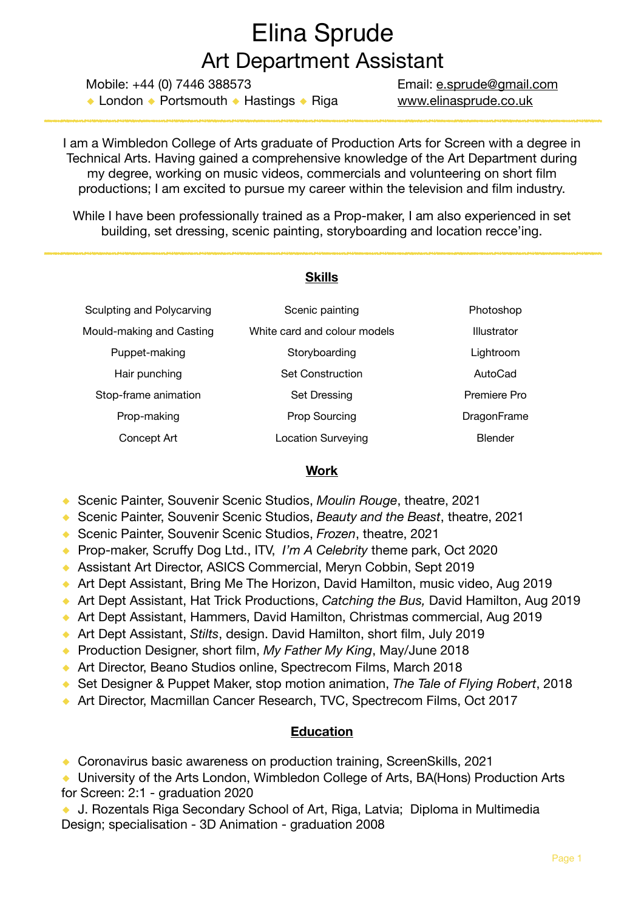# Elina Sprude Art Department Assistant

Mobile: +44 (0) 7446 388573 Email: [e.sprude@gmail.com](mailto:e.sprude@gmail.com) **◆** London **◆** Portsmouth **◆** Hastings **◆** Riga [www.elinasprude.co.uk](http://www.elinasprude.co.uk)

I am a Wimbledon College of Arts graduate of Production Arts for Screen with a degree in Technical Arts. Having gained a comprehensive knowledge of the Art Department during my degree, working on music videos, commercials and volunteering on short film productions; I am excited to pursue my career within the television and film industry.

While I have been professionally trained as a Prop-maker, I am also experienced in set building, set dressing, scenic painting, storyboarding and location recce'ing.

#### **Skills**

| Sculpting and Polycarving | Scenic painting              | Photoshop      |
|---------------------------|------------------------------|----------------|
| Mould-making and Casting  | White card and colour models | Illustrator    |
| Puppet-making             | Storyboarding                | Lightroom      |
| Hair punching             | Set Construction             | AutoCad        |
| Stop-frame animation      | Set Dressing                 | Premiere Pro   |
| Prop-making               | <b>Prop Sourcing</b>         | DragonFrame    |
| Concept Art               | <b>Location Surveying</b>    | <b>Blender</b> |

#### **Work**

- **◆** Scenic Painter, Souvenir Scenic Studios, *Moulin Rouge*, theatre, 2021
- **◆** Scenic Painter, Souvenir Scenic Studios, *Beauty and the Beast*, theatre, 2021
- **◆** Scenic Painter, Souvenir Scenic Studios, *Frozen*, theatre, 2021
- **◆** Prop-maker, Scruffy Dog Ltd., ITV, *I'm A Celebrity* theme park, Oct 2020
- ◆ Assistant Art Director, ASICS Commercial, Meryn Cobbin, Sept 2019
- ◆ Art Dept Assistant, Bring Me The Horizon, David Hamilton, music video, Aug 2019
- ◆ Art Dept Assistant, Hat Trick Productions, *Catching the Bus*, David Hamilton, Aug 2019
- ◆ Art Dept Assistant, Hammers, David Hamilton, Christmas commercial, Aug 2019
- **◆** Art Dept Assistant, *Stilts*, design. David Hamilton, short film, July 2019
- **◆** Production Designer, short film, *My Father My King*, May/June 2018
- ◆ Art Director, Beano Studios online, Spectrecom Films, March 2018
- **◆** Set Designer & Puppet Maker, stop motion animation, *The Tale of Flying Robert*, 2018
- **◆** Art Director, Macmillan Cancer Research, TVC, Spectrecom Films, Oct 2017

### **Education**

◆ Coronavirus basic awareness on production training, ScreenSkills, 2021

◆ University of the Arts London, Wimbledon College of Arts, BA(Hons) Production Arts for Screen: 2:1 - graduation 2020

◆ **J. Rozentals Riga Secondary School of Art, Riga, Latvia; Diploma in Multimedia** Design; specialisation - 3D Animation - graduation 2008